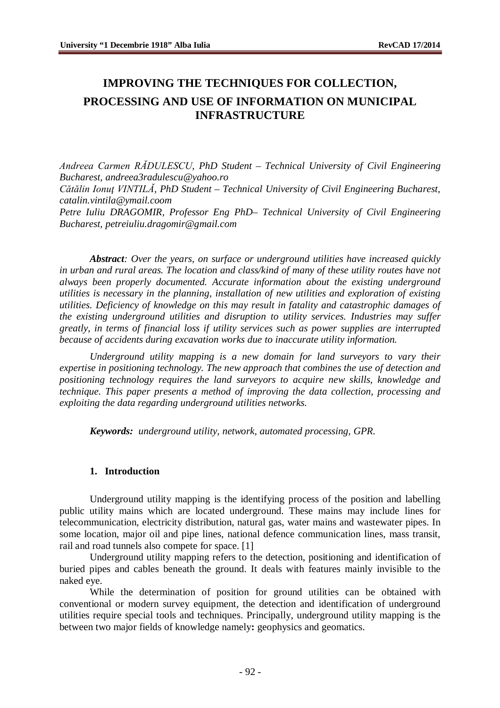# **IMPROVING THE TECHNIQUES FOR COLLECTION, PROCESSING AND USE OF INFORMATION ON MUNICIPAL INFRASTRUCTURE**

*Andreea Carmen RĂDULESCU, PhD Student – Technical University of Civil Engineering Bucharest, [andreea3radulescu@yahoo.ro](mailto:andreea3radulescu@yahoo.ro) Cătălin Ionuţ VINTILĂ, PhD Student – Technical University of Civil Engineering Bucharest, [catalin.vintila@ymail.coom](mailto:catalin.vintila@ymail.coom) Petre Iuliu DRAGOMIR, Professor Eng PhD– Technical University of Civil Engineering Bucharest, [petreiuliu.dragomir@gmail.com](mailto:petreiuliu.dragomir@gmail.com)*

*Abstract: Over the years, on surface or underground utilities have increased quickly in urban and rural areas. The location and class/kind of many of these utility routes have not always been properly documented. Accurate information about the existing underground utilities is necessary in the planning, installation of new utilities and exploration of existing utilities. Deficiency of knowledge on this may result in fatality and catastrophic damages of the existing underground utilities and disruption to utility services. Industries may suffer greatly, in terms of financial loss if utility services such as power supplies are interrupted because of accidents during excavation works due to inaccurate utility information.*

*Underground utility mapping is a new domain for land surveyors to vary their expertise in positioning technology. The new approach that combines the use of detection and positioning technology requires the land surveyors to acquire new skills, knowledge and technique. This paper presents a method of improving the data collection, processing and exploiting the data regarding underground utilities networks.*

*Keywords: underground utility, network, automated processing, GPR.*

#### **1. Introduction**

Underground utility mapping is the identifying process of the position and labelling public utility mains which are located underground. These mains may include lines for telecommunication, electricity distribution, natural gas, water mains and wastewater pipes. In some location, major oil and pipe lines, national defence communication lines, mass transit, rail and road tunnels also compete for space. [1]

Underground utility mapping refers to the detection, positioning and identification of buried pipes and cables beneath the ground. It deals with features mainly invisible to the naked eye.

While the determination of position for ground utilities can be obtained with conventional or modern survey equipment, the detection and identification of underground utilities require special tools and techniques. Principally, underground utility mapping is the between two major fields of knowledge namely**:** geophysics and geomatics.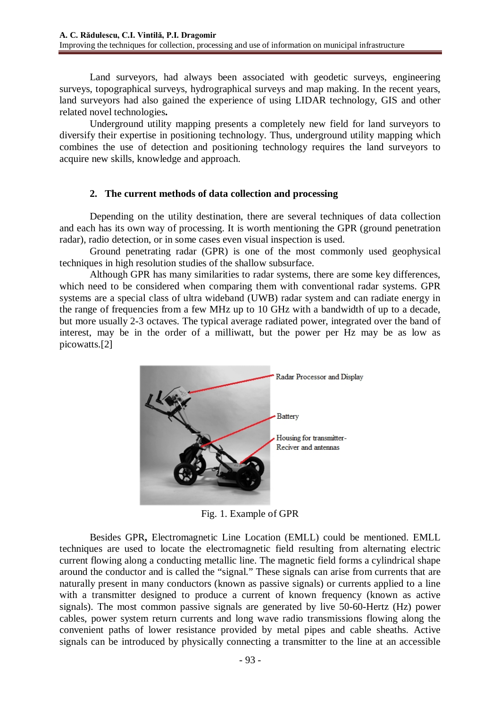Land surveyors, had always been associated with geodetic surveys, engineering surveys, topographical surveys, hydrographical surveys and map making. In the recent years, land surveyors had also gained the experience of using LIDAR technology, GIS and other related novel technologies**.**

Underground utility mapping presents a completely new field for land surveyors to diversify their expertise in positioning technology. Thus, underground utility mapping which combines the use of detection and positioning technology requires the land surveyors to acquire new skills, knowledge and approach.

## **2. The current methods of data collection and processing**

Depending on the utility destination, there are several techniques of data collection and each has its own way of processing. It is worth mentioning the GPR (ground penetration radar), radio detection, or in some cases even visual inspection is used.

Ground penetrating radar (GPR) is one of the most commonly used geophysical techniques in high resolution studies of the shallow subsurface.

Although GPR has many similarities to radar systems, there are some key differences, which need to be considered when comparing them with conventional radar systems. GPR systems are a special class of ultra wideband (UWB) radar system and can radiate energy in the range of frequencies from a few MHz up to 10 GHz with a bandwidth of up to a decade, but more usually 2-3 octaves. The typical average radiated power, integrated over the band of interest, may be in the order of a milliwatt, but the power per Hz may be as low as picowatts.[2]



Fig. 1. Example of GPR

Besides GPR**,** Electromagnetic Line Location (EMLL) could be mentioned. EMLL techniques are used to locate the electromagnetic field resulting from alternating electric current flowing along a conducting metallic line. The magnetic field forms a cylindrical shape around the conductor and is called the "signal." These signals can arise from currents that are naturally present in many conductors (known as passive signals) or currents applied to a line with a transmitter designed to produce a current of known frequency (known as active signals). The most common passive signals are generated by live 50-60-Hertz (Hz) power cables, power system return currents and long wave radio transmissions flowing along the convenient paths of lower resistance provided by metal pipes and cable sheaths. Active signals can be introduced by physically connecting a transmitter to the line at an accessible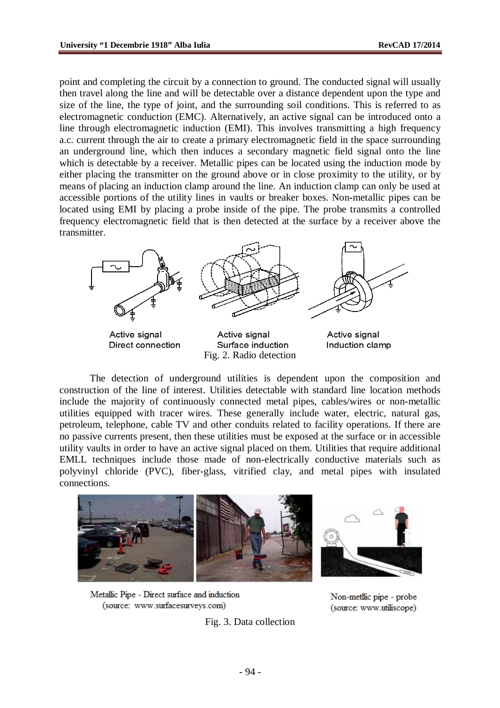point and completing the circuit by a connection to ground. The conducted signal will usually then travel along the line and will be detectable over a distance dependent upon the type and size of the line, the type of joint, and the surrounding soil conditions. This is referred to as electromagnetic conduction (EMC). Alternatively, an active signal can be introduced onto a line through electromagnetic induction (EMI). This involves transmitting a high frequency a.c. current through the air to create a primary electromagnetic field in the space surrounding an underground line, which then induces a secondary magnetic field signal onto the line which is detectable by a receiver. Metallic pipes can be located using the induction mode by either placing the transmitter on the ground above or in close proximity to the utility, or by means of placing an induction clamp around the line. An induction clamp can only be used at accessible portions of the utility lines in vaults or breaker boxes. Non**-**metallic pipes can be located using EMI by placing a probe inside of the pipe. The probe transmits a controlled frequency electromagnetic field that is then detected at the surface by a receiver above the transmitter.



Active signal Direct connection

Active signal Surface induction Fig. 2. Radio detection

Active signal Induction clamp

The detection of underground utilities is dependent upon the composition and construction of the line of interest. Utilities detectable with standard line location methods include the majority of continuously connected metal pipes, cables/wires or non-metallic utilities equipped with tracer wires. These generally include water, electric, natural gas, petroleum, telephone, cable TV and other conduits related to facility operations. If there are no passive currents present, then these utilities must be exposed at the surface or in accessible utility vaults in order to have an active signal placed on them. Utilities that require additional EMLL techniques include those made of non-electrically conductive materials such as polyvinyl chloride (PVC), fiber-glass, vitrified clay, and metal pipes with insulated connections.



Metallic Pipe - Direct surface and induction (source: www.surfacesurveys.com)

Fig. 3. Data collection

Non-metllic pipe - probe (source: www.utiliscope)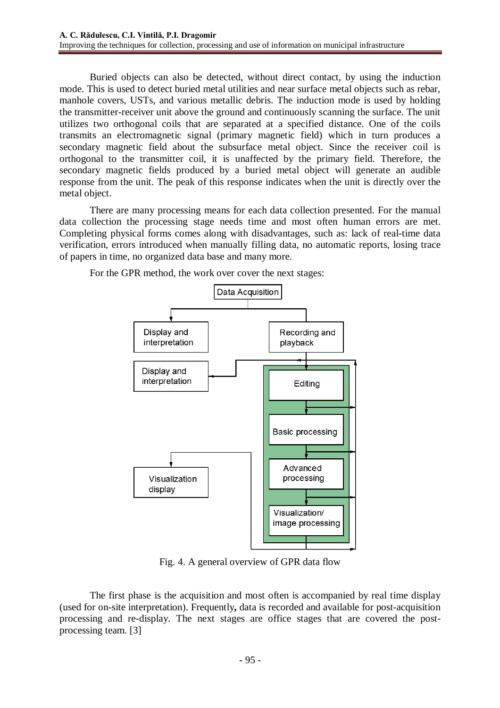Buried objects can also be detected, without direct contact, by using the induction mode. This is used to detect buried metal utilities and near surface metal objects such as rebar, manhole covers, USTs, and various metallic debris. The induction mode is used by holding the transmitter-receiver unit above the ground and continuously scanning the surface. The unit utilizes two orthogonal coils that are separated at a specified distance. One of the coils transmits an electromagnetic signal (primary magnetic field) which in turn produces a secondary magnetic field about the subsurface metal object. Since the receiver coil is orthogonal to the transmitter coil, it is unaffected by the primary field. Therefore, the secondary magnetic fields produced by a buried metal object will generate an audible response from the unit. The peak of this response indicates when the unit is directly over the metal object.

There are many processing means for each data collection presented. For the manual data collection the processing stage needs time and most often human errors are met. Completing physical forms comes along with disadvantages, such as: lack of real-time data verification, errors introduced when manually filling data, no automatic reports, losing trace of papers in time, no organized data base and many more.



For the GPR method, the work over cover the next stages:

Fig. 4. A general overview of GPR data flow

The first phase is the acquisition and most often is accompanied by real time display (used for on-site interpretation). Frequently**,** data is recorded and available for post-acquisition processing and re-display. The next stages are office stages that are covered the postprocessing team. [3]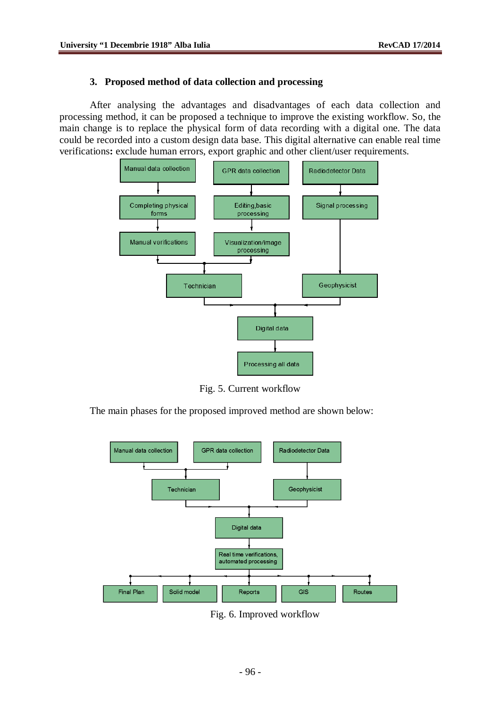#### **3. Proposed method of data collection and processing**

After analysing the advantages and disadvantages of each data collection and processing method, it can be proposed a technique to improve the existing workflow. So, the main change is to replace the physical form of data recording with a digital one. The data could be recorded into a custom design data base. This digital alternative can enable real time verifications**:** exclude human errors, export graphic and other client/user requirements.



Fig. 5. Current workflow

The main phases for the proposed improved method are shown below:



Fig. 6. Improved workflow